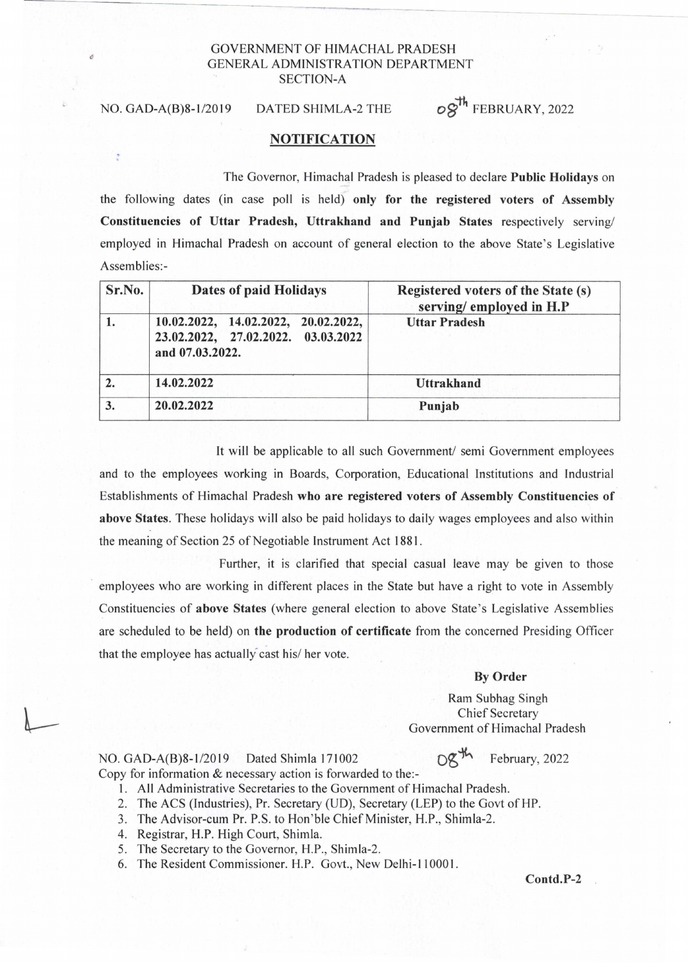## GOVERNMENT OF HIMACHAL PRADESH GENERAL ADMINISTRATION DEPARTMENT SECTION-A

NO. GAD-A(B)8-1/2019 DATED SHIMLA-2 THE  $\sigma \hat{S}^{\text{th}}$  FEBRUARY, 2022

## NOTIFICATION

The Governor, Himachal Pradesh is pleased to declare Public Holidays on

the following dates (in case poll is held) only for the registered voters of Assembly Constituencies of Uttar Pradesh, Uttrakhand and Punjab States respectively serving/ employed in Himachal Pradesh on account of general election to the above State's Legislative Assemblies:-

| Sr.No. | Dates of paid Holidays                                                                       | Registered voters of the State (s)<br>serving/employed in H.P |
|--------|----------------------------------------------------------------------------------------------|---------------------------------------------------------------|
|        | 10.02.2022, 14.02.2022, 20.02.2022,<br>23.02.2022, 27.02.2022. 03.03.2022<br>and 07.03.2022. | <b>Uttar Pradesh</b>                                          |
|        | 14.02.2022                                                                                   | <b>Uttrakhand</b>                                             |
|        | 20.02.2022                                                                                   | Punjab                                                        |

It will be applicable to all such Government/ semi Government employees and to the employees working in Boards, Corporation, Educational Institutions and Industrial Establishments of Himachal Pradesh who are registered voters of Assembly Constituencies of above States. These holidays will also be paid holidays to daily wages employees and also within the meaning of Section 25 of Negotiable Instrument Act 1881.

Further, it is clarified that special casual leave may be given to those employees who are working in different places in the State but have a right to vote in Assembly Constituencies of above States (where general election to above State's Legislative Assemblies are scheduled to be held) on the production of certificate from the concerned Presiding Officer that the employee has actually cast his/ her vote.

## By Order

Ram Subhag Singh Chief Secretary Government of Himachal Pradesh

 $DZ^{m}$  February, 2022

NO. GAD-A(B)8-1/2019 Dated Shimla 171002 Copy for information & necessary action is forwarded to the:-

- 1. All Administrative Secretaries to the Government of Himachal Pradesh.
- 2. The ACS (Industries), Pr. Secretary (UD), Secretary (LEP) to the Govt of HP.
- 3. The Advisor-cum Pr. P.S. to Hon'ble Chief Minister, H.P., Shimla-2.
- 4. Registrar, H.P. High Court, Shimla.
- 5. The Secretary to the Governor, H.P., Shimla-2.
- 6. The Resident Commissioner. H.P. Govt., New Delhi-I 10001.

Contd.P-2